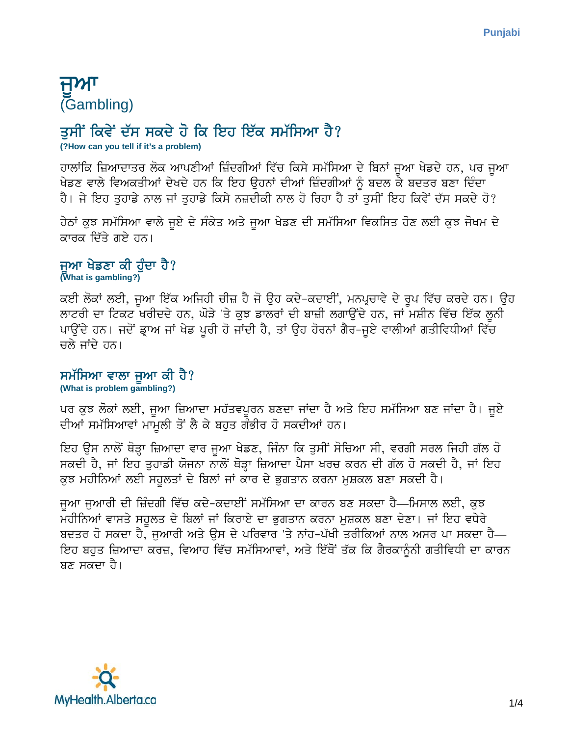# ਜਅਾ (Gambling)

## ਤਸੀਂ ਕਿਵੇਂ ਦੱਸ ਸਕਦੇ ਹੋ ਕਿ ਇਹ ਇੱਕ ਸਮੱਸਿਆ ਹੈ?

**(?How can you tell if it's a problem)**

ਹਾਲਾਂਕਿ ਜ਼ਿਆਦਾਤਰ ਲੋਕ ਆਪਣੀਆਂ ਜ਼ਿੰਦਗੀਆਂ ਵਿੱਚ ਕਿਸੇ ਸਮੱਸਿਆ ਦੇ ਬਿਨਾਂ ਜੁਆ ਖੇਡਦੇ ਹਨ, ਪਰ ਜੁਆ ਖੇਡਣ ਵਾਲੇ ਵਿਅਕਤੀਆਂ ਦੇਖਦੇ ਹਨ ਕਿ ਇਹ ਉਹਨਾਂ ਦੀਆਂ ਜ਼ਿੰਦਗੀਆਂ ਨੂੰ ਬਦਲ ਕੇ ਬਦਤਰ ਬਣਾ ਦਿੰਦਾ ਹੈ। ਜੇ ਇਹ ਤਹਾਡੇ ਨਾਲ ਜਾਂ ਤਹਾਡੇ ਕਿਸੇ ਨਜ਼ਦੀਕੀ ਨਾਲ ਹੋ ਰਿਹਾ ਹੈ ਤਾਂ ਤਸੀਂ ਇਹ ਕਿਵੇਂ ਦੱਸ ਸਕਦੇ ਹੋ?

ਹੇਠਾਂ ਕੁਝ ਸਮੱਸਿਆ ਵਾਲੇ ਜੁਏ ਦੇ ਸੰਕੇਤ ਅਤੇ ਜੁਆ ਖੇਡਣ ਦੀ ਸਮੱਸਿਆ ਵਿਕਸਿਤ ਹੋਣ ਲਈ ਕੁਝ ਜੋਖਮ ਦੇ ਕਾਰਕ ਦਿੱਤੇ ਗਏ ਹਨ।

## ਜਆ ਖੇਡਣਾ ਕੀ ਹੰਦਾ ਹੈ? **(What is gambling?)**

ਕਈ ਲੋਕਾਂ ਲਈ, ਜੁਆ ਇੱਕ ਅਜਿਹੀ ਚੀਜ਼ ਹੈ ਜੋ ਉਹ ਕਦੇ-ਕਦਾਈਂ, ਮਨਪ੍ਰਚਾਵੇ ਦੇ ਰੂਪ ਵਿੱਚ ਕਰਦੇ ਹਨ। ਉਹ ਲਾਟਰੀ ਦਾ ਟਿਕਟ ਖਰੀਦਦੇ ਹਨ, ਘੋੜੇ 'ਤੇ ਕੁਝ ਡਾਲਰਾਂ ਦੀ ਬਾਜ਼ੀ ਲਗਾਉਂਦੇ ਹਨ, ਜਾਂ ਮਸ਼ੀਨ ਵਿੱਚ ਇੱਕ ਲੁਨੀ ਪਾੳਂਦੇ ਹਨ। ਜਦੋਂ ਡਾਅ ਜਾਂ ਖੇਡ ਪਰੀ ਹੋ ਜਾਂਦੀ ਹੈ, ਤਾਂ ੳਹ ਹੋਰਨਾਂ ਗੈਰ-ਜਏ ਵਾਲੀਆਂ ਗਤੀਵਿਧੀਆਂ ਵਿੱਚ ਚਲੇ ਜਾਂਦੇ ਹਨ।

#### ਸਮੱਸਿਆ ਵਾਲਾ ਜੁਆ ਕੀ ਹੈ? **(What is problem gambling?)**

ਪਰ ਕਝ ਲੋਕਾਂ ਲਈ, ਜੁਆ ਜ਼ਿਆਦਾ ਮਹੱਤਵਪੂਰਨ ਬਣਦਾ ਜਾਂਦਾ ਹੈ ਅਤੇ ਇਹ ਸਮੱਸਿਆ ਬਣ ਜਾਂਦਾ ਹੈ। ਜਏ ਦੀਆਂ ਸਮੱਸਿਆਵਾਂ ਮਾਮਲੀ ਤੋਂ ਲੈ ਕੇ ਬਹਤ ਗੰਭੀਰ ਹੋ ਸਕਦੀਆਂ ਹਨ।

ਇਹ ਉਸ ਨਾਲੋਂ ਥੋੜ੍ਹਾ ਜ਼ਿਆਦਾ ਵਾਰ ਜੁਆ ਖੇਡਣ, ਜਿੰਨਾ ਕਿ ਤੁਸੀਂ ਸੋਚਿਆ ਸੀ, ਵਰਗੀ ਸਰਲ ਜਿਹੀ ਗੱਲ ਹੋ ਸਕਦੀ ਹੈ, ਜਾਂ ਇਹ ਤੁਹਾਡੀ ਯੋਜਨਾ ਨਾਲੋਂ ਥੋੜ੍ਹਾ ਜ਼ਿਆਦਾ ਪੈਸਾ ਖਰਚ ਕਰਨ ਦੀ ਗੱਲ ਹੋ ਸਕਦੀ ਹੈ, ਜਾਂ ਇਹ ਕੁਝ ਮਹੀਨਿਆਂ ਲਈ ਸਹੂਲਤਾਂ ਦੇ ਬਿਲਾਂ ਜਾਂ ਕਾਰ ਦੇ ਭੁਗਤਾਨ ਕਰਨਾ ਮੁਸ਼ਕਲ ਬਣਾ ਸਕਦੀ ਹੈ।

ਜੁਆ ਜੁਆਰੀ ਦੀ ਜ਼ਿੰਦਗੀ ਵਿੱਚ ਕਦੇ-ਕਦਾਈਂ ਸਮੱਸਿਆ ਦਾ ਕਾਰਨ ਬਣ ਸਕਦਾ ਹੈ—ਮਿਸਾਲ ਲਈ, ਕੁਝ ਮਹੀਨਿਆਂ ਵਾਸਤੇ ਸਹੂਲਤ ਦੇ ਬਿਲਾਂ ਜਾਂ ਕਿਰਾਏ ਦਾ ਭੁਗਤਾਨ ਕਰਨਾ ਮੁਸ਼ਕਲ ਬਣਾ ਦੇਣਾ। ਜਾਂ ਇਹ ਵਧੇਰੇ <u>ਬਦਤਰ ਹੋ ਸਕਦਾ ਹੈ, ਜੁਆਰੀ ਅਤੇ ਉਸ ਦੇ ਪਰਿਵਾਰ 'ਤੇ ਨਾਂਹ-ਪੱਖੀ ਤਰੀਕਿਆਂ ਨਾਲ ਅਸਰ ਪਾ ਸਕਦਾ ਹੈ—</u> ਇਹ ਬਹੁਤ ਜ਼ਿਆਦਾ ਕਰਜ਼, ਵਿਆਹ ਵਿੱਚ ਸਮੱਸਿਆਵਾਂ, ਅਤੇ ਇੱਥੋਂ ਤੱਕ ਕਿ ਗੈਰਕਾਨੂੰਨੀ ਗਤੀਵਿਧੀ ਦਾ ਕਾਰਨ ਬਣ ਸਕਦਾ ਹੈ।

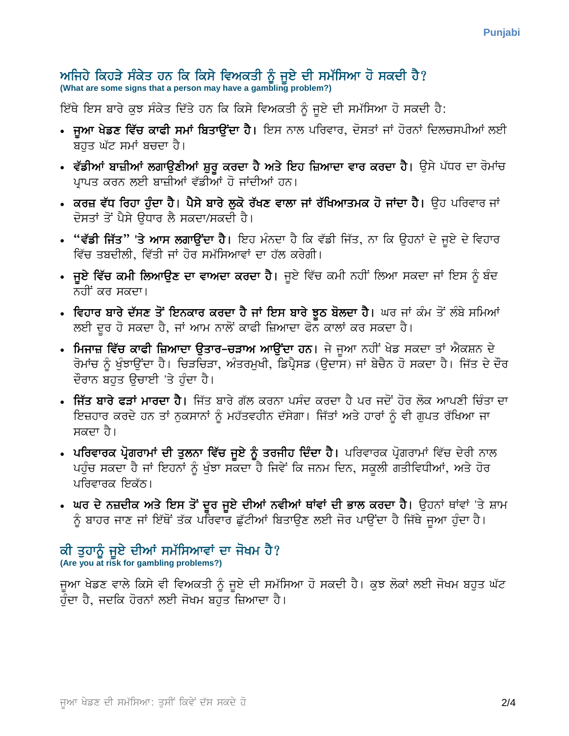# ਅਜਿਹੇ ਕਿਹੜੇ ਸੰਕੇਤ ਹਨ ਕਿ ਕਿਸੇ ਵਿਅਕਤੀ ਨੂੰ ਜੂਏ ਦੀ ਸਮੱਸਿਆ ਹੋ ਸਕਦੀ ਹੈ?<br>(What are some signs that a person may have a gambling problem?)

ਇੱਥੇ ਇਸ ਬਾਰੇ ਕੁਝ ਸੰਕੇਤ ਦਿੱਤੇ ਹਨ ਕਿ ਕਿਸੇ ਵਿਅਕਤੀ ਨੂੰ ਜਏ ਦੀ ਸਮੱਸਿਆ ਹੋ ਸਕਦੀ ਹੈ:

- **ਜੁਆ ਖੇਡਣ ਵਿੱਚ ਕਾਫੀ ਸਮਾਂ ਬਿਤਾਉਂਦਾ ਹੈ।** ਇਸ ਨਾਲ ਪਰਿਵਾਰ, ਦੋਸਤਾਂ ਜਾਂ ਹੋਰਨਾਂ ਦਿਲਚਸਪੀਆਂ ਲਈ ਬਹੁਤ ਘੱਟ ਸਮਾਂ ਬਚਦਾ ਹੈ।
- ਵੱਡੀਆਂ ਬਾਜ਼ੀਆਂ ਲਗਾਉਣੀਆਂ ਸ਼ੁਰੂ ਕਰਦਾ ਹੈ ਅਤੇ ਇਹ ਜ਼ਿਆਦਾ ਵਾਰ ਕਰਦਾ ਹੈ। ਉਸੇ ਪੱਧਰ ਦਾ ਰੋਮਾਂਚ ਪ੍ਰਾਪਤ ਕਰਨ ਲਈ ਬਾਜ਼ੀਆਂ ਵੱਡੀਆਂ ਹੋ ਜਾਂਦੀਆਂ ਹਨ।
- ਕਰਜ਼ ਵੱਧ ਰਿਹਾ ਹੁੰਦਾ ਹੈ। ਪੈਸੇ ਬਾਰੇ ਲੁਕੋ ਰੱਖਣ ਵਾਲਾ ਜਾਂ ਰੱਖਿਆਤਮਕ ਹੋ ਜਾਂਦਾ ਹੈ। ੳਹ ਪਰਿਵਾਰ ਜਾਂ ਦੋਸਤਾਂ ਤੋਂ ਪੈਸੇ ੳਧਾਰ ਲੈ ਸਕਦਾ/ਸਕਦੀ ਹੈ।
- "ਵੱਡੀ ਜਿੱਤ" 'ਤੇ ਆਸ ਲਗਾਉਂਦਾ ਹੈ। ਇਹ ਮੰਨਦਾ ਹੈ ਕਿ ਵੱਡੀ ਜਿੱਤ, ਨਾ ਕਿ ਉਹਨਾਂ ਦੇ ਜੂਏ ਦੇ ਵਿਹਾਰ ਵਿੱਚ ਤਬਦੀਲੀ, ਵਿੱਤੀ ਜਾਂ ਹੋਰ ਸਮੱਸਿਆਵਾਂ ਦਾ ਹੱਲ ਕਰੇਗੀ।
- ਜੁਏ ਵਿੱਚ ਕਮੀ ਲਿਆਉਣ ਦਾ ਵਾਅਦਾ ਕਰਦਾ ਹੈ। ਜੁਏ ਵਿੱਚ ਕਮੀ ਨਹੀਂ ਲਿਆ ਸਕਦਾ ਜਾਂ ਇਸ ਨੂੰ ਬੰਦ ਨਹੀਂ ਕਰ ਸਕਦਾ।
- ਵਿਹਾਰ ਬਾਰੇ ਦੱਸਣ ਤੋਂ ਇਨਕਾਰ ਕਰਦਾ ਹੈ ਜਾਂ ਇਸ ਬਾਰੇ ਝੂਠ ਬੋਲਦਾ ਹੈ। ਘਰ ਜਾਂ ਕੰਮ ਤੋਂ ਲੰਬੇ ਸਮਿਆਂ ਲਈ ਦਰ ਹੋ ਸਕਦਾ ਹੈ, ਜਾਂ ਆਮ ਨਾਲੋਂ ਕਾਫੀ ਜ਼ਿਆਦਾ ਫੋਨ ਕਾਲਾਂ ਕਰ ਸਕਦਾ ਹੈ।
- ਮਿਜਾਜ਼ ਵਿੱਚ ਕਾਫੀ ਜ਼ਿਆਦਾ ਉਤਾਰ-ਚੜਾਅ ਆਉਂਦਾ ਹਨ। ਜੇ ਜਆ ਨਹੀਂ ਖੇਡ ਸਕਦਾ ਤਾਂ ਐਕਸ਼ਨ ਦੇ ਰੋਮਾਂਚ ਨੂੰ ਖੁੰਝਾਉਂਦਾ ਹੈ। ਚਿੜਚਿੜਾ, ਅੰਤਰਮੁਖੀ, ਡਿਪ੍ਰੈਸਡ (ਉਦਾਸ) ਜਾਂ ਬੇਚੈਨ ਹੋ ਸਕਦਾ ਹੈ। ਜਿੱਤ ਦੇ ਦੌਰ ਦੌਰਾਨ ਬਹੁਤ ਉਚਾਈ 'ਤੇ ਹੰਦਾ ਹੈ।
- ਜਿੱਤ ਬਾਰੇ ਫੜਾਂ ਮਾਰਦਾ ਹੈ। ਜਿੱਤ ਬਾਰੇ ਗੱਲ ਕਰਨਾ ਪਸੰਦ ਕਰਦਾ ਹੈ ਪਰ ਜਦੋਂ ਹੋਰ ਲੋਕ ਆਪਣੀ ਚਿੰਤਾ ਦਾ ਇਜ਼ਹਾਰ ਕਰਦੇ ਹਨ ਤਾਂ ਨੁਕਸਾਨਾਂ ਨੂੰ ਮਹੱਤਵਹੀਨ ਦੱਸੇਗਾ। ਜਿੱਤਾਂ ਅਤੇ ਹਾਰਾਂ ਨੂੰ ਵੀ ਗੁਪਤ ਰੱਖਿਆ ਜਾ ਸਕਦਾ ਹੈ।
- ਪਰਿਵਾਰਕ ਪ੍ਰੋਗਰਾਮਾਂ ਦੀ ਤੁਲਨਾ ਵਿੱਚ ਜੁਏ ਨੂੰ ਤਰਜੀਹ ਦਿੰਦਾ ਹੈ। ਪਰਿਵਾਰਕ ਪ੍ਰੋਗਰਾਮਾਂ ਵਿੱਚ ਦੇਰੀ ਨਾਲ ਪਹੁੰਚ ਸਕਦਾ ਹੈ ਜਾਂ ਇਹਨਾਂ ਨੂੰ ਖੁੰਝਾ ਸਕਦਾ ਹੈ ਜਿਵੇਂ ਕਿ ਜਨਮ ਦਿਨ, ਸਕੂਲੀ ਗਤੀਵਿਧੀਆਂ, ਅਤੇ ਹੋਰ ਪਰਿਵਾਰਕ ਇਕੱਠ।
- ਘਰ ਦੇ ਨਜ਼ਦੀਕ ਅਤੇ ਇਸ ਤੋਂ ਦੂਰ ਜੂਏ ਦੀਆਂ ਨਵੀਆਂ ਥਾਂਵਾਂ ਦੀ ਭਾਲ ਕਰਦਾ ਹੈ। ਉਹਨਾਂ ਥਾਂਵਾਂ 'ਤੇ ਸ਼ਾਮ ਨੂੰ ਬਾਹਰ ਜਾਣ ਜਾਂ ਇੱਥੋਂ ਤੱਕ ਪਰਿਵਾਰ ਛੁੱਟੀਆਂ ਬਿਤਾਉਣ ਲਈ ਜੋਰ ਪਾਉਂਦਾ ਹੈ ਜਿੱਥੇ ਜੁਆ ਹੁੰਦਾ ਹੈ।

### ਕੀ ਤੁਹਾਨੂੰ ਜੁਏ ਦੀਆਂ ਸਮੱਸਿਆਵਾਂ ਦਾ ਜੋਖਮ ਹੈ? (Are you at risk for gambling problems?)

ਜਆ ਖੇਡਣ ਵਾਲੇ ਕਿਸੇ ਵੀ ਵਿਅਕਤੀ ਨੂੰ ਜਏ ਦੀ ਸਮੱਸਿਆ ਹੋ ਸਕਦੀ ਹੈ। ਕਝ ਲੋਕਾਂ ਲਈ ਜੋਖਮ ਬਹਤ ਘੱਟ ਹੰਦਾ ਹੈ, ਜਦਕਿ ਹੋਰਨਾਂ ਲਈ ਜੋਖਮ ਬਹਤ ਜ਼ਿਆਦਾ ਹੈ।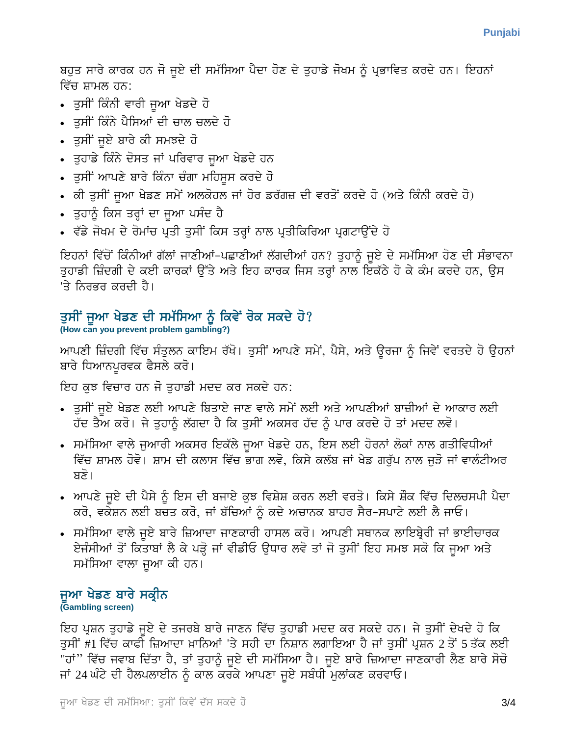ਬਹੁਤ ਸਾਰੇ ਕਾਰਕ ਹਨ ਜੋ ਜੁਏ ਦੀ ਸਮੱਸਿਆ ਪੈਦਾ ਹੋਣ ਦੇ ਤੁਹਾਡੇ ਜੋਖਮ ਨੂੰ ਪ੍ਰਭਾਵਿਤ ਕਰਦੇ ਹਨ। ਇਹਨਾਂ ਵਿੱਚ ਸ਼ਾਮਲ ਹਨ:

- ਤੁਸੀਂ ਕਿੰਨੀ ਵਾਰੀ ਜੁਆ ਖੇਡਦੇ ਹੋ
- ਤਸੀਂ ਕਿੰਨੇ ਪੈਸਿਆਂ ਦੀ ਚਾਲ ਚਲਦੇ ਹੋ
- ਤੁਸੀਂ ਜੁਏ ਬਾਰੇ ਕੀ ਸਮਝਦੇ ਹੋ
- ਤੁਹਾਡੇ ਕਿੰਨੇ ਦੋਸਤ ਜਾਂ ਪਰਿਵਾਰ ਜੁਆ ਖੇਡਦੇ ਹਨ
- ਤੁਸੀਂ ਆਪਣੇ ਬਾਰੇ ਕਿੰਨਾ ਚੰਗਾ ਮਹਿਸੁਸ ਕਰਦੇ ਹੋ
- ਕੀ ਤੁਸੀਂ ਜੁਆ ਖੇਡਣ ਸਮੇਂ ਅਲਕੋਹਲ ਜਾਂ ਹੋਰ ਡਰੱਗਜ਼ ਦੀ ਵਰਤੋਂ ਕਰਦੇ ਹੋ (ਅਤੇ ਕਿੰਨੀ ਕਰਦੇ ਹੋ)
- ਤੁਹਾਨੂੰ ਕਿਸ ਤਰ੍ਹਾਂ ਦਾ ਜੁਆ ਪਸੰਦ ਹੈ
- ਵੱਡੇ ਜੋਖਮ ਦੇ ਰੋਮਾਂਚ ਪ੍ਰਤੀ ਤੁਸੀਂ ਕਿਸ ਤਰ੍ਹਾਂ ਨਾਲ ਪ੍ਰਤੀਕਿਰਿਆ ਪ੍ਰਗਟਾਉਂਦੇ ਹੋ

ਇਹਨਾਂ ਵਿੱਚੋਂ ਕਿੰਨੀਆਂ ਗੱਲਾਂ ਜਾਣੀਆਂ-ਪਛਾਣੀਆਂ ਲੱਗਦੀਆਂ ਹਨ? ਤਹਾਨੂੰ ਜਏ ਦੇ ਸਮੱਸਿਆ ਹੋਣ ਦੀ ਸੰਭਾਵਨਾ ਤੁਹਾਡੀ ਜ਼ਿੰਦਗੀ ਦੇ ਕਈ ਕਾਰਕਾਂ ਉੱਤੇ ਅਤੇ ਇਹ ਕਾਰਕ ਜਿਸ ਤਰ੍ਹਾਂ ਨਾਲ ਇਕੱਠੇ ਹੋ ਕੇ ਕੰਮ ਕਰਦੇ ਹਨ, ਉਸ 'ਤੇ ਨਿਰਭਰ ਕਰਦੀ ਹੈ।

## ਤਸੀਂ ਜਆ ਖੇਡਣ ਦੀ ਸਮੱਸਿਆ ਨੂੰ ਕਿਵੇਂ ਰੋਕ ਸਕਦੇ ਹੋ?

(How can you prevent problem gambling?)

ਆਪਣੀ ਜ਼ਿੰਦਗੀ ਵਿੱਚ ਸੰਤੁਲਨ ਕਾਇਮ ਰੱਖੋ। ਤੁਸੀਂ ਆਪਣੇ ਸਮੇਂ, ਪੈਸੇ, ਅਤੇ ਉਰਜਾ ਨੂੰ ਜਿਵੇਂ ਵਰਤਦੇ ਹੋ ਉਹਨਾਂ ਬਾਰੇ ਧਿਆਨਪਰਵਕ ਫੈਸਲੇ ਕਰੋ।

ਇਹ ਕੁਝ ਵਿਚਾਰ ਹਨ ਜੋ ਤਹਾਡੀ ਮਦਦ ਕਰ ਸਕਦੇ ਹਨ:

- ਤੁਸੀਂ ਜੁਏ ਖੇਡਣ ਲਈ ਆਪਣੇ ਬਿਤਾਏ ਜਾਣ ਵਾਲੇ ਸਮੇਂ ਲਈ ਅਤੇ ਆਪਣੀਆਂ ਬਾਜ਼ੀਆਂ ਦੇ ਆਕਾਰ ਲਈ ਹੱਦ ਤੈਅ ਕਰੋ। ਜੇ ਤੁਹਾਨੂੰ ਲੱਗਦਾ ਹੈ ਕਿ ਤੁਸੀਂ ਅਕਸਰ ਹੱਦ ਨੂੰ ਪਾਰ ਕਰਦੇ ਹੋ ਤਾਂ ਮਦਦ ਲਵੋ।
- ਸਮੱਸਿਆ ਵਾਲੇ ਜੁਆਰੀ ਅਕਸਰ ਇਕੱਲੇ ਜੁਆ ਖੇਡਦੇ ਹਨ, ਇਸ ਲਈ ਹੋਰਨਾਂ ਲੋਕਾਂ ਨਾਲ ਗਤੀਵਿਧੀਆਂ ਵਿੱਚ ਸ਼ਾਮਲ ਹੋਵੋ। ਸ਼ਾਮ ਦੀ ਕਲਾਸ ਵਿੱਚ ਭਾਗ ਲਵੋ, ਕਿਸੇ ਕਲੱਬ ਜਾਂ ਖੇਡ ਗਰੁੱਪ ਨਾਲ ਜੁੜੋ ਜਾਂ ਵਾਲੰਟੀਅਰ ਬਣੋ।
- ਆਪਣੇ ਜਏ ਦੀ ਪੈਸੇ ਨੂੰ ਇਸ ਦੀ ਬਜਾਏ ਕਝ ਵਿਸ਼ੇਸ਼ ਕਰਨ ਲਈ ਵਰਤੋ। ਕਿਸੇ ਸ਼ੌਕ ਵਿੱਚ ਦਿਲਚਸਪੀ ਪੈਦਾ ਕਰੋ, ਵਕੇਸ਼ਨ ਲਈ ਬਚਤ ਕਰੋ, ਜਾਂ ਬੱਚਿਆਂ ਨੂੰ ਕਦੇ ਅਚਾਨਕ ਬਾਹਰ ਸੈਰ-ਸਪਾਟੇ ਲਈ ਲੈ ਜਾਓ।
- ਸਮੱਸਿਆ ਵਾਲੇ ਜੁਏ ਬਾਰੇ ਜ਼ਿਆਦਾ ਜਾਣਕਾਰੀ ਹਾਸਲ ਕਰੋ। ਆਪਣੀ ਸਥਾਨਕ ਲਾਇਬ੍ਰੇਰੀ ਜਾਂ ਭਾਈਚਾਰਕ ਏਜੰਸੀਆਂ ਤੋਂ ਕਿਤਾਬਾਂ ਲੈ ਕੇ ਪੜ੍ਹੋ ਜਾਂ ਵੀਡੀਓ ਉਧਾਰ ਲਵੋ ਤਾਂ ਜੋ ਤੁਸੀਂ ਇਹ ਸਮਝ ਸਕੋ ਕਿ ਜੁਆ ਅਤੇ ਸਮੱਸਿਆ ਵਾਲਾ ਜੁਆ ਕੀ ਹਨ।

# ਜੁਆ ਖੇਡਣ ਬਾਰੇ ਸਕ੍ਰੀਨ

(Gambling screen)

ਇਹ ਪ੍ਰਸ਼ਨ ਤੁਹਾਡੇ ਜੁਏ ਦੇ ਤਜਰਬੇ ਬਾਰੇ ਜਾਣਨ ਵਿੱਚ ਤੁਹਾਡੀ ਮਦਦ ਕਰ ਸਕਦੇ ਹਨ। ਜੇ ਤੁਸੀਂ ਦੇਖਦੇ ਹੋ ਕਿ ਤੁਸੀਂ #1 ਵਿੱਚ ਕਾਫੀ ਜ਼ਿਆਦਾ ਖ਼ਾਨਿਆਂ 'ਤੇ ਸਹੀ ਦਾ ਨਿਸ਼ਾਨ ਲਗਾਇਆ ਹੈ ਜਾਂ ਤੁਸੀਂ ਪ੍ਰਸ਼ਨ 2 ਤੋਂ 5 ਤੱਕ ਲਈ "ਹਾਂ" ਵਿੱਚ ਜਵਾਬ ਦਿੱਤਾ ਹੈ, ਤਾਂ ਤੁਹਾਨੂੰ ਜੂਏ ਦੀ ਸਮੱਸਿਆ ਹੈ। ਜੂਏ ਬਾਰੇ ਜ਼ਿਆਦਾ ਜਾਣਕਾਰੀ ਲੈਣ ਬਾਰੇ ਸੋਚੋ ਜਾਂ 24 ਘੰਟੇ ਦੀ ਹੈਲਪਲਾਈਨ ਨੂੰ ਕਾਲ ਕਰਕੇ ਆਪਣਾ ਜੂਏ ਸਬੰਧੀ ਮੁਲਾਂਕਣ ਕਰਵਾਓ।